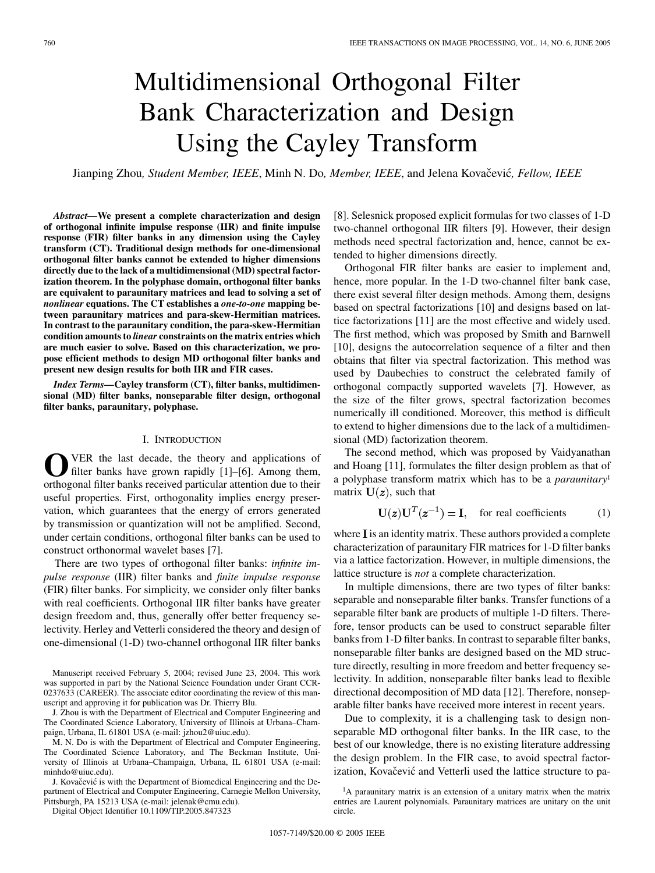# Multidimensional Orthogonal Filter Bank Characterization and Design Using the Cayley Transform

Jianping Zhou, Student Member, IEEE, Minh N. Do, Member, IEEE, and Jelena Kovačević, Fellow, IEEE

*Abstract—***We present a complete characterization and design of orthogonal infinite impulse response (IIR) and finite impulse response (FIR) filter banks in any dimension using the Cayley transform (CT). Traditional design methods for one-dimensional orthogonal filter banks cannot be extended to higher dimensions directly due to the lack of a multidimensional (MD) spectral factorization theorem. In the polyphase domain, orthogonal filter banks are equivalent to paraunitary matrices and lead to solving a set of** *nonlinear* **equations. The CT establishes a** *one-to-one* **mapping between paraunitary matrices and para-skew-Hermitian matrices. In contrast to the paraunitary condition, the para-skew-Hermitian condition amounts to** *linear* **constraints on the matrix entries which are much easier to solve. Based on this characterization, we propose efficient methods to design MD orthogonal filter banks and present new design results for both IIR and FIR cases.**

*Index Terms—***Cayley transform (CT), filter banks, multidimensional (MD) filter banks, nonseparable filter design, orthogonal filter banks, paraunitary, polyphase.**

#### I. INTRODUCTION

VER the last decade, the theory and applications of filter banks have grown rapidly [[1\]](#page-8-0)–[\[6](#page-8-0)]. Among them, orthogonal filter banks received particular attention due to their useful properties. First, orthogonality implies energy preservation, which guarantees that the energy of errors generated by transmission or quantization will not be amplified. Second, under certain conditions, orthogonal filter banks can be used to construct orthonormal wavelet bases [[7\]](#page-8-0).

There are two types of orthogonal filter banks: *infinite impulse response* (IIR) filter banks and *finite impulse response* (FIR) filter banks. For simplicity, we consider only filter banks with real coefficients. Orthogonal IIR filter banks have greater design freedom and, thus, generally offer better frequency selectivity. Herley and Vetterli considered the theory and design of one-dimensional (1-D) two-channel orthogonal IIR filter banks

Manuscript received February 5, 2004; revised June 23, 2004. This work was supported in part by the National Science Foundation under Grant CCR-0237633 (CAREER). The associate editor coordinating the review of this manuscript and approving it for publication was Dr. Thierry Blu.

J. Zhou is with the Department of Electrical and Computer Engineering and The Coordinated Science Laboratory, University of Illinois at Urbana–Champaign, Urbana, IL 61801 USA (e-mail: jzhou2@uiuc.edu).

M. N. Do is with the Department of Electrical and Computer Engineering, The Coordinated Science Laboratory, and The Beckman Institute, University of Illinois at Urbana–Champaign, Urbana, IL 61801 USA (e-mail: minhdo@uiuc.edu).

J. Kovačević is with the Department of Biomedical Engineering and the Department of Electrical and Computer Engineering, Carnegie Mellon University, Pittsburgh, PA 15213 USA (e-mail: jelenak@cmu.edu).

Digital Object Identifier 10.1109/TIP.2005.847323

[[8\]](#page-8-0). Selesnick proposed explicit formulas for two classes of 1-D two-channel orthogonal IIR filters [\[9](#page-8-0)]. However, their design methods need spectral factorization and, hence, cannot be extended to higher dimensions directly.

Orthogonal FIR filter banks are easier to implement and, hence, more popular. In the 1-D two-channel filter bank case, there exist several filter design methods. Among them, designs based on spectral factorizations [\[10](#page-8-0)] and designs based on lattice factorizations [\[11](#page-8-0)] are the most effective and widely used. The first method, which was proposed by Smith and Barnwell [[10\]](#page-8-0), designs the autocorrelation sequence of a filter and then obtains that filter via spectral factorization. This method was used by Daubechies to construct the celebrated family of orthogonal compactly supported wavelets [[7\]](#page-8-0). However, as the size of the filter grows, spectral factorization becomes numerically ill conditioned. Moreover, this method is difficult to extend to higher dimensions due to the lack of a multidimensional (MD) factorization theorem.

The second method, which was proposed by Vaidyanathan and Hoang [\[11](#page-8-0)], formulates the filter design problem as that of a polyphase transform matrix which has to be a *paraunitary*<sup>1</sup> matrix  $U(z)$ , such that

$$
\mathbf{U}(\mathbf{z})\mathbf{U}^T(\mathbf{z}^{-1}) = \mathbf{I}, \quad \text{for real coefficients} \tag{1}
$$

where  $I$  is an identity matrix. These authors provided a complete characterization of paraunitary FIR matrices for 1-D filter banks via a lattice factorization. However, in multiple dimensions, the lattice structure is *not* a complete characterization.

In multiple dimensions, there are two types of filter banks: separable and nonseparable filter banks. Transfer functions of a separable filter bank are products of multiple 1-D filters. Therefore, tensor products can be used to construct separable filter banks from 1-D filter banks. In contrast to separable filter banks, nonseparable filter banks are designed based on the MD structure directly, resulting in more freedom and better frequency selectivity. In addition, nonseparable filter banks lead to flexible directional decomposition of MD data [[12\]](#page-9-0). Therefore, nonseparable filter banks have received more interest in recent years.

Due to complexity, it is a challenging task to design nonseparable MD orthogonal filter banks. In the IIR case, to the best of our knowledge, there is no existing literature addressing the design problem. In the FIR case, to avoid spectral factorization, Kovačević and Vetterli used the lattice structure to pa-

<sup>&</sup>lt;sup>1</sup>A paraunitary matrix is an extension of a unitary matrix when the matrix entries are Laurent polynomials. Paraunitary matrices are unitary on the unit circle.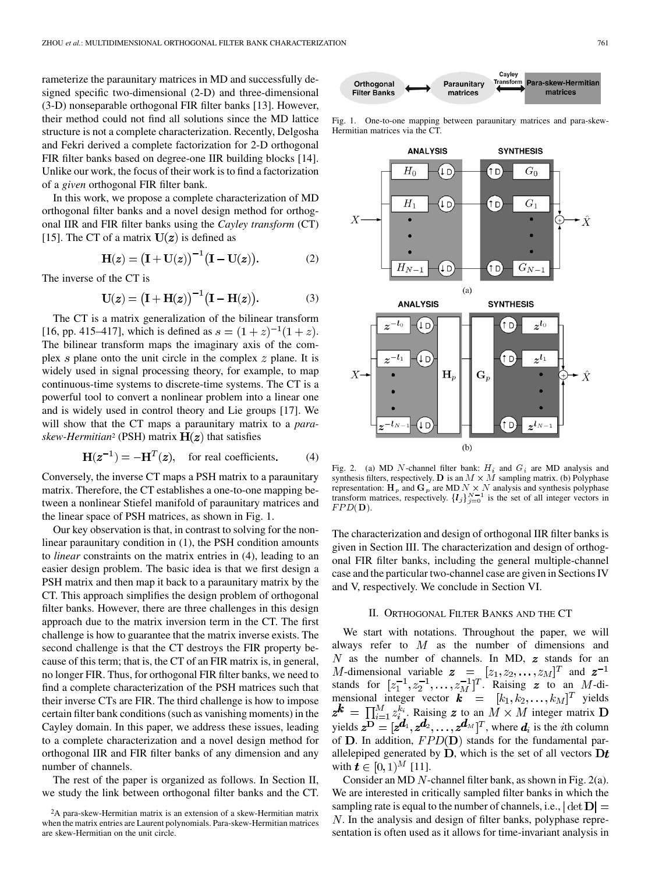rameterize the paraunitary matrices in MD and successfully designed specific two-dimensional (2-D) and three-dimensional (3-D) nonseparable orthogonal FIR filter banks [[13\]](#page-9-0). However, their method could not find all solutions since the MD lattice structure is not a complete characterization. Recently, Delgosha and Fekri derived a complete factorization for 2-D orthogonal FIR filter banks based on degree-one IIR building blocks [\[14](#page-9-0)]. Unlike our work, the focus of their work is to find a factorization of a *given* orthogonal FIR filter bank.

In this work, we propose a complete characterization of MD orthogonal filter banks and a novel design method for orthogonal IIR and FIR filter banks using the *Cayley transform* (CT) [\[15](#page-9-0)]. The CT of a matrix  $U(z)$  is defined as

$$
H(z) = (I + U(z))^{-1} (I - U(z)).
$$
 (2)

The inverse of the CT is

$$
\mathbf{U}(\mathbf{z}) = \big(\mathbf{I} + \mathbf{H}(\mathbf{z})\big)^{-1} \big(\mathbf{I} - \mathbf{H}(\mathbf{z})\big). \tag{3}
$$

The CT is a matrix generalization of the bilinear transform [\[16](#page-9-0), pp. 415–417], which is defined as  $s = (1 + z)^{-1}(1 + z)$ . The bilinear transform maps the imaginary axis of the complex  $s$  plane onto the unit circle in the complex  $z$  plane. It is widely used in signal processing theory, for example, to map continuous-time systems to discrete-time systems. The CT is a powerful tool to convert a nonlinear problem into a linear one and is widely used in control theory and Lie groups [\[17](#page-9-0)]. We will show that the CT maps a paraunitary matrix to a *paraskew-Hermitian*<sup>2</sup> (PSH) matrix  $H(z)$  that satisfies

$$
\mathbf{H}(z^{-1}) = -\mathbf{H}^{T}(z), \quad \text{for real coefficients.} \tag{4}
$$

Conversely, the inverse CT maps a PSH matrix to a paraunitary matrix. Therefore, the CT establishes a one-to-one mapping between a nonlinear Stiefel manifold of paraunitary matrices and the linear space of PSH matrices, as shown in Fig. 1.

Our key observation is that, in contrast to solving for the nonlinear paraunitary condition in (1), the PSH condition amounts to *linear* constraints on the matrix entries in (4), leading to an easier design problem. The basic idea is that we first design a PSH matrix and then map it back to a paraunitary matrix by the CT. This approach simplifies the design problem of orthogonal filter banks. However, there are three challenges in this design approach due to the matrix inversion term in the CT. The first challenge is how to guarantee that the matrix inverse exists. The second challenge is that the CT destroys the FIR property because of this term; that is, the CT of an FIR matrix is, in general, no longer FIR. Thus, for orthogonal FIR filter banks, we need to find a complete characterization of the PSH matrices such that their inverse CTs are FIR. The third challenge is how to impose certain filter bank conditions (such as vanishing moments) in the Cayley domain. In this paper, we address these issues, leading to a complete characterization and a novel design method for orthogonal IIR and FIR filter banks of any dimension and any number of channels.

The rest of the paper is organized as follows. In Section II, we study the link between orthogonal filter banks and the CT.



Fig. 1. One-to-one mapping between paraunitary matrices and para-skew-Hermitian matrices via the CT.



Fig. 2. (a) MD N-channel filter bank:  $H_i$  and  $G_i$  are MD analysis and synthesis filters, respectively. D is an  $M \times M$  sampling matrix. (b) Polyphase representation:  $H_p$  and  $G_p$  are MD  $N \times N$  analysis and synthesis polyphase transform matrices, respectively.  $\{l_j\}_{j=0}^{N-1}$  is the set of all integer vectors in  $FPD(D)$ .

The characterization and design of orthogonal IIR filter banks is given in Section III. The characterization and design of orthogonal FIR filter banks, including the general multiple-channel case and the particular two-channel case are given in Sections IV and V, respectively. We conclude in Section VI.

#### II. ORTHOGONAL FILTER BANKS AND THE CT

We start with notations. Throughout the paper, we will always refer to  $M$  as the number of dimensions and  $N$  as the number of channels. In MD,  $z$  stands for an -dimensional variable  $\mathbf{z} = [z_1, z_2, \dots, z_M]^T$  and stands for  $[z_1^{-1}, z_2^{-1}, \ldots, z_M^{-1}]^T$ . Raising z to an M-dimensional integer vector  $\mathbf{k} = [k_1, k_2, \dots, k_M]^T$  yields . Raising z to an  $M \times M$  integer matrix yields  $z^{\mathbf{D}} = [z^{\mathbf{d}_1}, z^{\mathbf{d}_2}, \dots, z^{\mathbf{d}_M}]^T$ , where  $\mathbf{d}_i$  is the *i*th column of  $D$ . In addition,  $FPD(D)$  stands for the fundamental parallelepiped generated by  $D$ , which is the set of all vectors  $Dt$ with  $\mathbf{t} \in [0,1)^M$  [\[11](#page-8-0)].

Consider an MD  $N$ -channel filter bank, as shown in Fig. 2(a). We are interested in critically sampled filter banks in which the sampling rate is equal to the number of channels, i.e.,  $|\det D| =$ . In the analysis and design of filter banks, polyphase representation is often used as it allows for time-invariant analysis in

<sup>2</sup>A para-skew-Hermitian matrix is an extension of a skew-Hermitian matrix when the matrix entries are Laurent polynomials. Para-skew-Hermitian matrices are skew-Hermitian on the unit circle.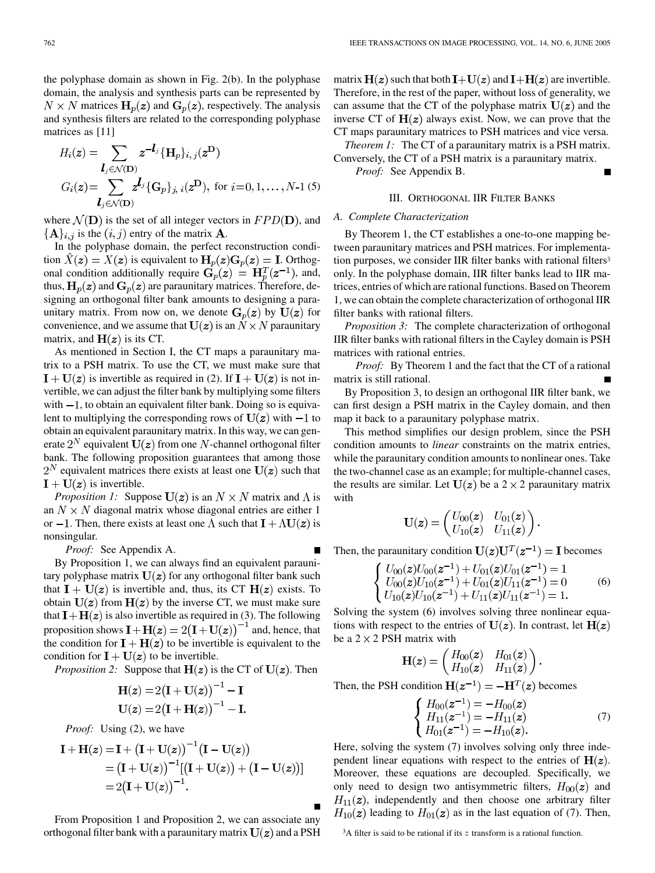the polyphase domain as shown in Fig. 2(b). In the polyphase domain, the analysis and synthesis parts can be represented by  $N \times N$  matrices  $H_p(z)$  and  $G_p(z)$ , respectively. The analysis and synthesis filters are related to the corresponding polyphase matrices as [[11\]](#page-8-0)

$$
H_i(\mathbf{z}) = \sum_{\mathbf{l}_j \in \mathcal{N}(\mathbf{D})} \mathbf{z}^{-\mathbf{l}_j} \{ \mathbf{H}_p \}_{i, j}(\mathbf{z}^{\mathbf{D}})
$$
  
\n
$$
G_i(\mathbf{z}) = \sum_{\mathbf{l}_j \in \mathcal{N}(\mathbf{D})} \mathbf{z}^{\mathbf{l}_j} \{ \mathbf{G}_p \}_{j, i}(\mathbf{z}^{\mathbf{D}}), \text{ for } i = 0, 1, \dots, N-1 \text{ (5)}
$$

where  $\mathcal{N}(\mathbf{D})$  is the set of all integer vectors in  $FPD(\mathbf{D})$ , and  ${A}_{i,j}$  is the  $(i, j)$  entry of the matrix **A**.

In the polyphase domain, the perfect reconstruction condition  $\hat{X}(z) = X(z)$  is equivalent to  $H_p(z)G_p(z) = I$ . Orthogonal condition additionally require  $G_p(z) = H_p^T(z^{-1})$ , and, thus,  $H_p(z)$  and  $G_p(z)$  are paraunitary matrices. Therefore, designing an orthogonal filter bank amounts to designing a paraunitary matrix. From now on, we denote  $G_n(z)$  by  $U(z)$  for convenience, and we assume that  $U(z)$  is an  $N \times N$  paraunitary matrix, and  $H(z)$  is its CT.

As mentioned in Section I, the CT maps a paraunitary matrix to a PSH matrix. To use the CT, we must make sure that  $\mathbf{I} + \mathbf{U}(z)$  is invertible as required in (2). If  $\mathbf{I} + \mathbf{U}(z)$  is not invertible, we can adjust the filter bank by multiplying some filters with  $-1$ , to obtain an equivalent filter bank. Doing so is equivalent to multiplying the corresponding rows of  $U(z)$  with  $-1$  to obtain an equivalent paraunitary matrix. In this way, we can generate  $2^N$  equivalent  $U(z)$  from one N-channel orthogonal filter bank. The following proposition guarantees that among those  $2^N$  equivalent matrices there exists at least one  $U(z)$  such that  $I + U(z)$  is invertible.

*Proposition 1:* Suppose  $U(z)$  is an  $N \times N$  matrix and  $\Lambda$  is an  $N \times N$  diagonal matrix whose diagonal entries are either 1 or  $-1$ . Then, there exists at least one  $\Lambda$  such that  $\mathbf{I} + \Lambda \mathbf{U}(\mathbf{z})$  is nonsingular.

*Proof:* See Appendix A.

By Proposition 1, we can always find an equivalent paraunitary polyphase matrix  $U(z)$  for any orthogonal filter bank such that  $I + U(z)$  is invertible and, thus, its CT  $H(z)$  exists. To obtain  $U(z)$  from  $H(z)$  by the inverse CT, we must make sure that  $\mathbf{I} + \mathbf{H}(z)$  is also invertible as required in (3). The following proposition shows  $\mathbf{I} + \mathbf{H}(z) = 2(\mathbf{I} + \mathbf{U}(z))^{-1}$  and, hence, that the condition for  $\mathbf{I} + \mathbf{H}(z)$  to be invertible is equivalent to the condition for  $\mathbf{I} + \mathbf{U}(\mathbf{z})$  to be invertible.

*Proposition 2:* Suppose that  $H(z)$  is the CT of  $U(z)$ . Then

$$
\mathbf{H}(z) = 2(\mathbf{I} + \mathbf{U}(z))^{-1} - \mathbf{I}
$$

$$
\mathbf{U}(z) = 2(\mathbf{I} + \mathbf{H}(z))^{-1} - \mathbf{I}
$$

*Proof:* Using (2), we have

$$
\mathbf{I} + \mathbf{H}(z) = \mathbf{I} + (\mathbf{I} + \mathbf{U}(z))^{-1} (\mathbf{I} - \mathbf{U}(z))
$$
  
=  $(\mathbf{I} + \mathbf{U}(z))^{-1} [(\mathbf{I} + \mathbf{U}(z)) + (\mathbf{I} - \mathbf{U}(z))]$   
=  $2(\mathbf{I} + \mathbf{U}(z))^{-1}$ .

From Proposition 1 and Proposition 2, we can associate any orthogonal filter bank with a paraunitary matrix  $U(z)$  and a PSH

matrix  $H(z)$  such that both  $I+U(z)$  and  $I+H(z)$  are invertible. Therefore, in the rest of the paper, without loss of generality, we can assume that the CT of the polyphase matrix  $U(z)$  and the inverse CT of  $H(z)$  always exist. Now, we can prove that the CT maps paraunitary matrices to PSH matrices and vice versa.

*Theorem 1:* The CT of a paraunitary matrix is a PSH matrix. Conversely, the CT of a PSH matrix is a paraunitary matrix. *Proof:* See Appendix B.

#### III. ORTHOGONAL IIR FILTER BANKS

## *A. Complete Characterization*

By Theorem 1, the CT establishes a one-to-one mapping between paraunitary matrices and PSH matrices. For implementation purposes, we consider IIR filter banks with rational filters<sup>3</sup> only. In the polyphase domain, IIR filter banks lead to IIR matrices, entries of which are rational functions. Based on Theorem 1, we can obtain the complete characterization of orthogonal IIR filter banks with rational filters.

*Proposition 3:* The complete characterization of orthogonal IIR filter banks with rational filters in the Cayley domain is PSH matrices with rational entries.

*Proof:* By Theorem 1 and the fact that the CT of a rational matrix is still rational.

By Proposition 3, to design an orthogonal IIR filter bank, we can first design a PSH matrix in the Cayley domain, and then map it back to a paraunitary polyphase matrix.

This method simplifies our design problem, since the PSH condition amounts to *linear* constraints on the matrix entries, while the paraunitary condition amounts to nonlinear ones. Take the two-channel case as an example; for multiple-channel cases, the results are similar. Let  $U(z)$  be a 2 × 2 paraunitary matrix with

$$
\mathbf{U}(\mathbf{z}) = \begin{pmatrix} U_{00}(\mathbf{z}) & U_{01}(\mathbf{z}) \\ U_{10}(\mathbf{z}) & U_{11}(\mathbf{z}) \end{pmatrix}
$$

Then, the paraunitary condition  $U(z)U^{T}(z^{-1}) = I$  becomes

$$
\begin{cases}\nU_{00}(z)U_{00}(z^{-1}) + U_{01}(z)U_{01}(z^{-1}) = 1 \\
U_{00}(z)U_{10}(z^{-1}) + U_{01}(z)U_{11}(z^{-1}) = 0 \\
U_{10}(z)U_{10}(z^{-1}) + U_{11}(z)U_{11}(z^{-1}) = 1.\n\end{cases}
$$
\n(6)

Solving the system (6) involves solving three nonlinear equations with respect to the entries of  $U(z)$ . In contrast, let  $H(z)$ be a  $2 \times 2$  PSH matrix with

$$
\mathbf{H}(\mathbf{z}) = \begin{pmatrix} H_{00}(\mathbf{z}) & H_{01}(\mathbf{z}) \\ H_{10}(\mathbf{z}) & H_{11}(\mathbf{z}) \end{pmatrix}.
$$

Then, the PSH condition  $H(z^{-1}) = -H<sup>T</sup>(z)$  becomes

$$
\begin{cases}\nH_{00}(z^{-1}) = -H_{00}(z) \\
H_{11}(z^{-1}) = -H_{11}(z) \\
H_{01}(z^{-1}) = -H_{10}(z).\n\end{cases}
$$
\n(7)

Here, solving the system (7) involves solving only three independent linear equations with respect to the entries of  $H(z)$ . Moreover, these equations are decoupled. Specifically, we only need to design two antisymmetric filters,  $H_{00}(z)$  and  $H_{11}(z)$ , independently and then choose one arbitrary filter  $H_{10}(z)$  leading to  $H_{01}(z)$  as in the last equation of (7). Then,

 $3A$  filter is said to be rational if its z transform is a rational function.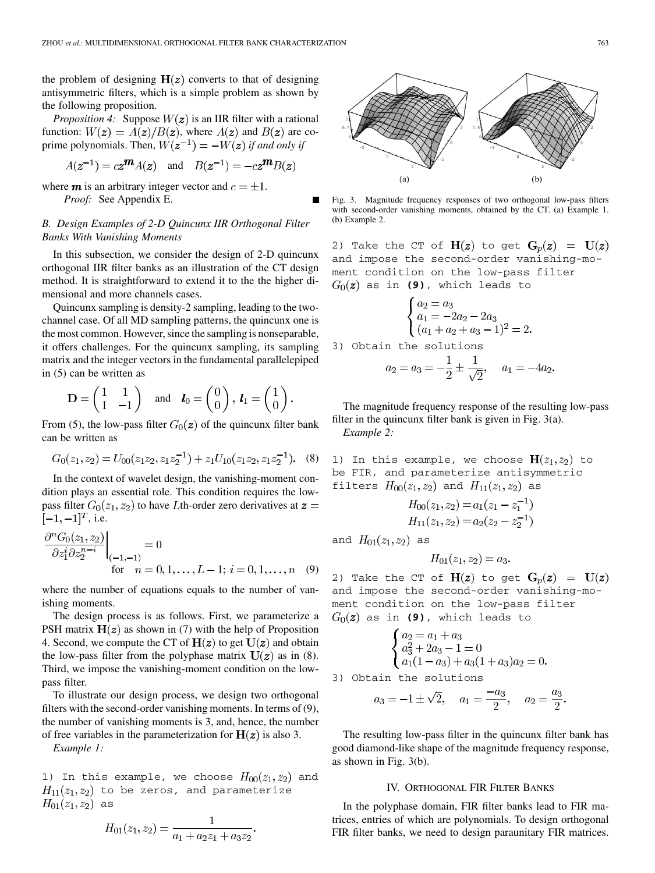the problem of designing  $H(z)$  converts to that of designing antisymmetric filters, which is a simple problem as shown by the following proposition.

*Proposition 4:* Suppose  $W(z)$  is an IIR filter with a rational function:  $W(z) = A(z)/B(z)$ , where  $A(z)$  and  $B(z)$  are coprime polynomials. Then,  $W(z^{-1}) = -W(z)$  if and only if

$$
A(\mathbf{z}^{-1}) = c\mathbf{z}^{\mathbf{m}} A(\mathbf{z}) \quad \text{and} \quad B(\mathbf{z}^{-1}) = -c\mathbf{z}^{\mathbf{m}} B(\mathbf{z})
$$

where  $\boldsymbol{m}$  is an arbitrary integer vector and  $c = \pm 1$ . *Proof:* See Appendix E.

# *B. Design Examples of 2-D Quincunx IIR Orthogonal Filter Banks With Vanishing Moments*

In this subsection, we consider the design of 2-D quincunx orthogonal IIR filter banks as an illustration of the CT design method. It is straightforward to extend it to the the higher dimensional and more channels cases.

Quincunx sampling is density-2 sampling, leading to the twochannel case. Of all MD sampling patterns, the quincunx one is the most common. However, since the sampling is nonseparable, it offers challenges. For the quincunx sampling, its sampling matrix and the integer vectors in the fundamental parallelepiped in (5) can be written as

$$
\mathbf{D} = \begin{pmatrix} 1 & 1 \\ 1 & -1 \end{pmatrix} \quad \text{and} \quad \mathbf{l}_0 = \begin{pmatrix} 0 \\ 0 \end{pmatrix}, \ \mathbf{l}_1 = \begin{pmatrix} 1 \\ 0 \end{pmatrix}.
$$

From (5), the low-pass filter  $G_0(z)$  of the quincunx filter bank can be written as

$$
G_0(z_1, z_2) = U_{00}(z_1 z_2, z_1 z_2^{-1}) + z_1 U_{10}(z_1 z_2, z_1 z_2^{-1}).
$$
 (8)

In the context of wavelet design, the vanishing-moment condition plays an essential role. This condition requires the lowpass filter  $G_0(z_1, z_2)$  to have Lth-order zero derivatives at  $z =$  $[-1, -1]^T$ , i.e.

$$
\frac{\partial^n G_0(z_1, z_2)}{\partial z_1^i \partial z_2^{n-i}}\Big|_{\substack{(-1, -1) \\ \text{for } n = 0, 1, \dots, L-1; i = 0, 1, \dots, n \quad (9)}}
$$

where the number of equations equals to the number of vanishing moments.

The design process is as follows. First, we parameterize a PSH matrix  $H(z)$  as shown in (7) with the help of Proposition 4. Second, we compute the CT of  $H(z)$  to get  $U(z)$  and obtain the low-pass filter from the polyphase matrix  $U(z)$  as in (8). Third, we impose the vanishing-moment condition on the lowpass filter.

To illustrate our design process, we design two orthogonal filters with the second-order vanishing moments. In terms of (9), the number of vanishing moments is 3, and, hence, the number of free variables in the parameterization for  $H(z)$  is also 3.

*Example 1:*

1) In this example, we choose  $H_{00}(z_1, z_2)$  and  $H_{11}(z_1, z_2)$  to be zeros, and parameterize  $H_{01}(z_1, z_2)$  as

$$
H_{01}(z_1, z_2) = \frac{1}{a_1 + a_2 z_1 + a_3 z_2}
$$



Fig. 3. Magnitude frequency responses of two orthogonal low-pass filters with second-order vanishing moments, obtained by the CT. (a) Example 1. (b) Example 2.

2) Take the CT of  $H(z)$  to get  $G_p(z) = U(z)$ and impose the second-order vanishing-moment condition on the low-pass filter  $G_0(z)$  as in (9), which leads to

$$
\begin{cases}\na_2 = a_3 \\
a_1 = -2a_2 - 2a_3 \\
(a_1 + a_2 + a_3 - 1)^2 = 2\n\end{cases}
$$

3) Obtain the solutions

$$
a_2 = a_3 = -\frac{1}{2} \pm \frac{1}{\sqrt{2}}, \quad a_1 = -4a_2.
$$

The magnitude frequency response of the resulting low-pass filter in the quincunx filter bank is given in Fig. 3(a). *Example 2:*

1) In this example, we choose  $H(z_1, z_2)$  to be FIR, and parameterize antisymmetric filters  $H_{00}(z_1, z_2)$  and  $H_{11}(z_1, z_2)$  as

$$
H_{00}(z_1, z_2) = a_1(z_1 - z_1^{-1})
$$
  
\n
$$
H_{11}(z_1, z_2) = a_2(z_2 - z_2^{-1})
$$

and  $H_{01}(z_1, z_2)$  as

$$
H_{01}(z_1, z_2) = a_3.
$$

2) Take the CT of  $H(z)$  to get  $G_p(z) = U(z)$ and impose the second-order vanishing-moment condition on the low-pass filter  $G_0(z)$  as in (9), which leads to

$$
\begin{cases}\na_2 = a_1 + a_3 \\
a_3^2 + 2a_3 - 1 = 0 \\
a_1(1 - a_3) + a_3(1 + a_3)a_2 = 0.\n\end{cases}
$$

3) Obtain the solutions

$$
a_3 = -1 \pm \sqrt{2}
$$
,  $a_1 = \frac{-a_3}{2}$ ,  $a_2 = \frac{a_3}{2}$ .

The resulting low-pass filter in the quincunx filter bank has good diamond-like shape of the magnitude frequency response, as shown in Fig. 3(b).

#### IV. ORTHOGONAL FIR FILTER BANKS

In the polyphase domain, FIR filter banks lead to FIR matrices, entries of which are polynomials. To design orthogonal FIR filter banks, we need to design paraunitary FIR matrices.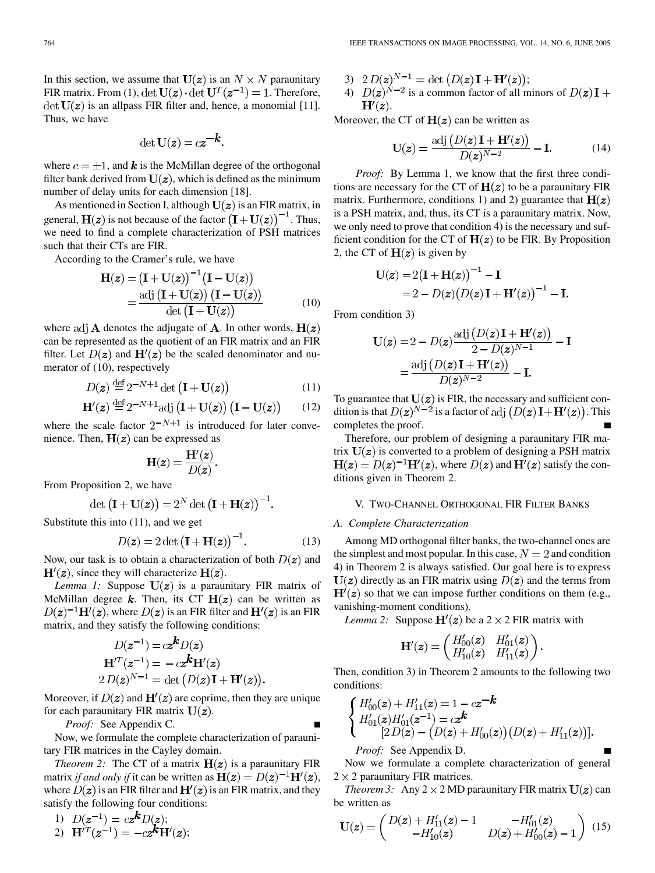In this section, we assume that  $U(z)$  is an  $N \times N$  paraunitary FIR matrix. From (1),  $\det U(z) \cdot \det U^{T}(z^{-1}) = 1$ . Therefore, det  $U(z)$  is an allpass FIR filter and, hence, a monomial [[11\]](#page-8-0). Thus, we have

$$
\det \mathbf{U}(\mathbf{z}) = c\mathbf{z}^{-k}.
$$

where  $c = \pm 1$ , and **k** is the McMillan degree of the orthogonal filter bank derived from  $U(z)$ , which is defined as the minimum number of delay units for each dimension [[18\]](#page-9-0).

As mentioned in Section I, although  $U(z)$  is an FIR matrix, in general,  $H(z)$  is not because of the factor  $(I + U(z))^{-1}$ . Thus, we need to find a complete characterization of PSH matrices such that their CTs are FIR.

According to the Cramer's rule, we have

$$
\mathbf{H}(z) = (\mathbf{I} + \mathbf{U}(z))^{-1} (\mathbf{I} - \mathbf{U}(z))
$$

$$
= \frac{\text{adj} (\mathbf{I} + \mathbf{U}(z)) (\mathbf{I} - \mathbf{U}(z))}{\text{det} (\mathbf{I} + \mathbf{U}(z))}
$$
(10)

where adj **A** denotes the adjugate of **A**. In other words,  $H(z)$ can be represented as the quotient of an FIR matrix and an FIR filter. Let  $D(z)$  and  $H'(z)$  be the scaled denominator and numerator of (10), respectively

$$
D(z) \stackrel{\text{def}}{=} 2^{-N+1} \det \left( \mathbf{I} + \mathbf{U}(z) \right) \tag{11}
$$

$$
\mathbf{H}'(z) \stackrel{\text{def}}{=} 2^{-N+1} \text{adj} \left( \mathbf{I} + \mathbf{U}(z) \right) \left( \mathbf{I} - \mathbf{U}(z) \right) \tag{12}
$$

where the scale factor  $2^{-N+1}$  is introduced for later convenience. Then,  $H(z)$  can be expressed as

$$
\mathbf{H}(z) = \frac{\mathbf{H}'(z)}{D(z)}.
$$

From Proposition 2, we have

$$
\det (\mathbf{I} + \mathbf{U}(\mathbf{z})) = 2^N \det (\mathbf{I} + \mathbf{H}(\mathbf{z}))^{-1}.
$$

Substitute this into (11), and we get

$$
D(z) = 2 \det \left( \mathbf{I} + \mathbf{H}(z) \right)^{-1}.
$$
 (13)

Now, our task is to obtain a characterization of both  $D(z)$  and  $H'(z)$ , since they will characterize  $H(z)$ .

*Lemma 1:* Suppose  $U(z)$  is a paraunitary FIR matrix of McMillan degree  $k$ . Then, its CT  $H(z)$  can be written as  $D(z)^{-1}H'(z)$ , where  $D(z)$  is an FIR filter and  $H'(z)$  is an FIR matrix, and they satisfy the following conditions:

$$
D(z^{-1}) = cz^k D(z)
$$

$$
\mathbf{H}^{\prime T}(z^{-1}) = -cz^k \mathbf{H}^{\prime}(z)
$$

$$
2 D(z)^{N-1} = \det (D(z) \mathbf{I} + \mathbf{H}^{\prime}(z)).
$$

Moreover, if  $D(z)$  and  $H'(z)$  are coprime, then they are unique for each paraunitary FIR matrix  $U(z)$ .

*Proof:* See Appendix C.

Now, we formulate the complete characterization of paraunitary FIR matrices in the Cayley domain.

*Theorem 2:* The CT of a matrix  $H(z)$  is a paraunitary FIR matrix *if and only if* it can be written as  $H(z) = D(z)^{-1}H'(z)$ , where  $D(z)$  is an FIR filter and  $\mathbf{H}'(z)$  is an FIR matrix, and they satisfy the following four conditions:

1) 
$$
D(z^{-1}) = cz^k D(z);
$$
  
2)  $H'^T(z^{-1}) = -cz^k H'(z);$ 

- 3)  $2D(z)^{N-1} = \det(D(z)I + H'(z));$
- 4)  $D(z)^{N-2}$  is a common factor of all minors of  $D(z)I +$  $H'(z)$ .

Moreover, the CT of  $H(z)$  can be written as

$$
\mathbf{U}(z) = \frac{\text{adj}\left(D(z)\mathbf{I} + \mathbf{H}'(z)\right)}{D(z)^{N-2}} - \mathbf{I}.\tag{14}
$$

*Proof:* By Lemma 1, we know that the first three conditions are necessary for the CT of  $H(z)$  to be a paraunitary FIR matrix. Furthermore, conditions 1) and 2) guarantee that  $H(z)$ is a PSH matrix, and, thus, its CT is a paraunitary matrix. Now, we only need to prove that condition 4) is the necessary and sufficient condition for the CT of  $H(z)$  to be FIR. By Proposition 2, the CT of  $H(z)$  is given by

$$
U(z) = 2(I + H(z))^{-1} - I
$$
  
= 2 - D(z)(D(z)I + H'(z))<sup>-1</sup> – I.

From condition 3)

$$
\mathbf{U}(z) = 2 - D(z) \frac{\text{adj}\left(D(z)\mathbf{I} + \mathbf{H}'(z)\right)}{2 - D(z)^{N-1}} - \mathbf{I}
$$

$$
= \frac{\text{adj}\left(D(z)\mathbf{I} + \mathbf{H}'(z)\right)}{D(z)^{N-2}} - \mathbf{I}.
$$

To guarantee that  $U(z)$  is FIR, the necessary and sufficient condition is that  $D(z)^{N-2}$  is a factor of adj  $(D(z)I + H'(z))$ . This completes the proof.

Therefore, our problem of designing a paraunitary FIR matrix  $U(z)$  is converted to a problem of designing a PSH matrix  $H(z) = D(z)^{-1}H'(z)$ , where  $D(z)$  and  $H'(z)$  satisfy the conditions given in Theorem 2.

#### V. TWO-CHANNEL ORTHOGONAL FIR FILTER BANKS

#### *A. Complete Characterization*

Among MD orthogonal filter banks, the two-channel ones are the simplest and most popular. In this case,  $N = 2$  and condition 4) in Theorem 2 is always satisfied. Our goal here is to express  $U(z)$  directly as an FIR matrix using  $D(z)$  and the terms from  $H'(z)$  so that we can impose further conditions on them (e.g., vanishing-moment conditions).

*Lemma 2:* Suppose  $H'(z)$  be a 2  $\times$  2 FIR matrix with

$$
\mathbf{H}'(z) = \begin{pmatrix} H'_{00}(z) & H'_{01}(z) \\ H'_{10}(z) & H'_{11}(z) \end{pmatrix}.
$$

Then, condition 3) in Theorem 2 amounts to the following two conditions:

$$
\begin{cases}\nH'_{00}(z) + H'_{11}(z) = 1 - cz^{-k} \\
H'_{01}(z)H'_{01}(z^{-1}) = cz^{k} \\
[2D(z) - (D(z) + H'_{00}(z))(D(z) + H'_{11}(z))].\n\end{cases}
$$

*Proof:* See Appendix D.

Now we formulate a complete characterization of general  $2 \times 2$  paraunitary FIR matrices.

*Theorem 3:* Any  $2 \times 2$  MD paraunitary FIR matrix  $U(z)$  can be written as

$$
\mathbf{U}(z) = \begin{pmatrix} D(z) + H'_{11}(z) - 1 & -H'_{01}(z) \\ -H'_{10}(z) & D(z) + H'_{00}(z) - 1 \end{pmatrix} (15)
$$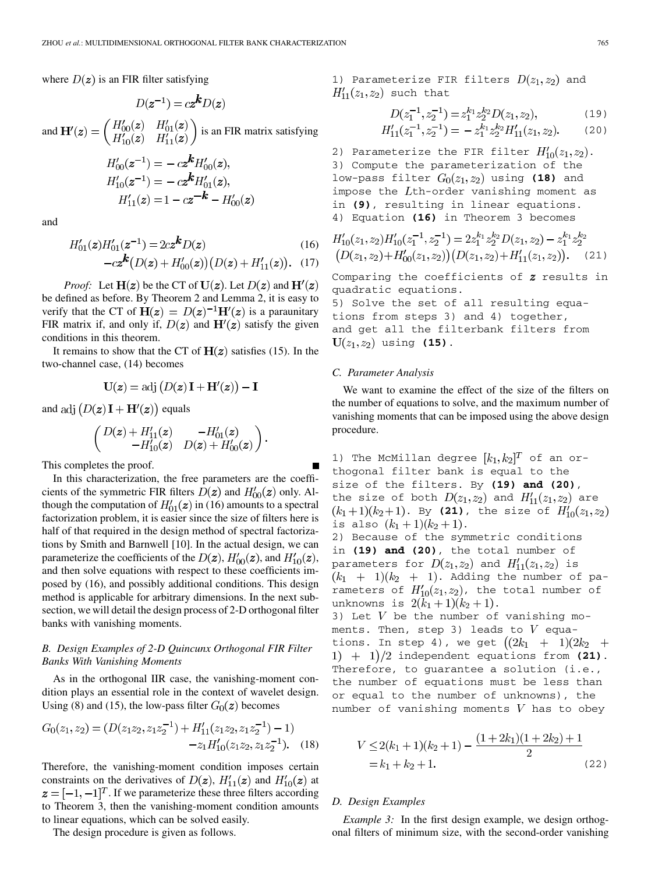where  $D(z)$  is an FIR filter satisfying

$$
D(z^*) = (z^*)D(z)
$$
  
and 
$$
H'(z) = \begin{pmatrix} H'_{00}(z) & H'_{01}(z) \\ H'_{10}(z) & H'_{11}(z) \end{pmatrix}
$$
 is an FIR matrix satisfying

 $D(z^{-1}) = c z^k D(z)$ 

$$
H'_{00}(z^{-1}) = -cz^{\prime\prime}H'_{00}(z),
$$
  
\n
$$
H'_{10}(z^{-1}) = -cz^{\prime\prime}H'_{01}(z),
$$
  
\n
$$
H'_{11}(z) = 1 - cz^{-\prime\prime} - H'_{00}(z)
$$

and

$$
H'_{01}(z)H'_{01}(z^{-1}) = 2cz^k D(z)
$$
\n(16)

$$
-cz^{k}(D(z) + H'_{00}(z))(D(z) + H'_{11}(z)). \quad (17)
$$

*Proof:* Let  $H(z)$  be the CT of  $U(z)$ . Let  $D(z)$  and  $H'(z)$ be defined as before. By Theorem 2 and Lemma 2, it is easy to verify that the CT of  $H(z) = D(z)^{-1}H'(z)$  is a paraunitary FIR matrix if, and only if,  $D(z)$  and  $H'(z)$  satisfy the given conditions in this theorem.

It remains to show that the CT of  $H(z)$  satisfies (15). In the two-channel case, (14) becomes

$$
\mathbf{U}(z) = \text{adj}\left(D(z)\mathbf{I} + \mathbf{H}'(z)\right) - \mathbf{I}
$$

and adj  $(D(z)I + H'(z))$  equals

$$
\begin{pmatrix}\nD(z) + H'_{11}(z) & -H'_{01}(z) \\
-H'_{10}(z) & D(z) + H'_{00}(z)\n\end{pmatrix}.
$$

This completes the proof.

In this characterization, the free parameters are the coefficients of the symmetric FIR filters  $D(z)$  and  $H'_{00}(z)$  only. Although the computation of  $H'_{01}(z)$  in (16) amounts to a spectral factorization problem, it is easier since the size of filters here is half of that required in the design method of spectral factorizations by Smith and Barnwell [\[10\]](#page-8-0). In the actual design, we can parameterize the coefficients of the  $D(z)$ ,  $H'_{00}(z)$ , and  $H'_{10}(z)$ , and then solve equations with respect to these coefficients imposed by (16), and possibly additional conditions. This design method is applicable for arbitrary dimensions. In the next subsection, we will detail the design process of 2-D orthogonal filter banks with vanishing moments.

# *B. Design Examples of 2-D Quincunx Orthogonal FIR Filter Banks With Vanishing Moments*

As in the orthogonal IIR case, the vanishing-moment condition plays an essential role in the context of wavelet design. Using (8) and (15), the low-pass filter  $G_0(z)$  becomes

$$
G_0(z_1, z_2) = (D(z_1 z_2, z_1 z_2^{-1}) + H'_{11}(z_1 z_2, z_1 z_2^{-1}) - 1) -z_1 H'_{10}(z_1 z_2, z_1 z_2^{-1}).
$$
 (18)

Therefore, the vanishing-moment condition imposes certain constraints on the derivatives of  $D(z)$ ,  $H'_{11}(z)$  and  $H'_{10}(z)$  at  $z = [-1, -1]^T$ . If we parameterize these three filters according to Theorem 3, then the vanishing-moment condition amounts to linear equations, which can be solved easily.

The design procedure is given as follows.

1) Parameterize FIR filters  $D(z_1, z_2)$  and  $H'_{11}(z_1, z_2)$  such that

$$
D(z_1^{-1}, z_2^{-1}) = z_1^{k_1} z_2^{k_2} D(z_1, z_2),
$$
\n(19)  
\n
$$
H'_{11}(z_1^{-1}, z_2^{-1}) = -z_1^{k_1} z_2^{k_2} H'_{11}(z_1, z_2).
$$
\n(20)

2) Parameterize the FIR filter  $H'_{10}(z_1, z_2)$ . 3) Compute the parameterization of the low-pass filter  $G_0(z_1, z_2)$  using (18) and impose the  $L$ th-order vanishing moment as in **(9)**, resulting in linear equations. 4) Equation **(16)** in Theorem 3 becomes

$$
H'_{10}(z_1, z_2)H'_{10}(z_1^{-1}, z_2^{-1}) = 2z_1^{k_1}z_2^{k_2}D(z_1, z_2) - z_1^{k_1}z_2^{k_2}
$$
  
\n
$$
(D(z_1, z_2) + H'_{00}(z_1, z_2))(D(z_1, z_2) + H'_{11}(z_1, z_2)).
$$
 (21)

Comparing the coefficients of  $z$  results in quadratic equations.

5) Solve the set of all resulting equations from steps 3) and 4) together, and get all the filterbank filters from  $U(z_1, z_2)$  using (15).

#### *C. Parameter Analysis*

We want to examine the effect of the size of the filters on the number of equations to solve, and the maximum number of vanishing moments that can be imposed using the above design procedure.

1) The McMillan degree  $[k_1,k_2]^T$  of an orthogonal filter bank is equal to the size of the filters. By **(19) and (20)**, the size of both  $D(z_1, z_2)$  and  $H'_{11}(z_1, z_2)$  are  $(k_1+1)(k_2+1)$ . By (21), the size of  $H'_{10}(z_1,z_2)$ is also  $(k_1+1)(k_2+1)$ . 2) Because of the symmetric conditions in **(19) and (20)**, the total number of parameters for  $D(z_1, z_2)$  and  $H'_{11}(z_1, z_2)$  is  $(k_1 + 1)(k_2 + 1)$ . Adding the number of parameters of  $H'_{10}(z_1, z_2)$ , the total number of unknowns is  $2(k_1 + 1)(k_2 + 1)$ . 3) Let  $V$  be the number of vanishing moments. Then, step 3) leads to  $V$  equations. In step 4), we get  $((2k_1 + 1)(2k_2 +$  $i)$  + 1)/2 independent equations from (21). Therefore, to quarantee a solution (i.e., the number of equations must be less than or equal to the number of unknowns), the number of vanishing moments  $V$  has to obey

$$
V \le 2(k_1 + 1)(k_2 + 1) - \frac{(1 + 2k_1)(1 + 2k_2) + 1}{2}
$$
  
= k<sub>1</sub> + k<sub>2</sub> + 1. (22)

#### *D. Design Examples*

*Example 3:* In the first design example, we design orthogonal filters of minimum size, with the second-order vanishing

$$
f_{\rm{max}}
$$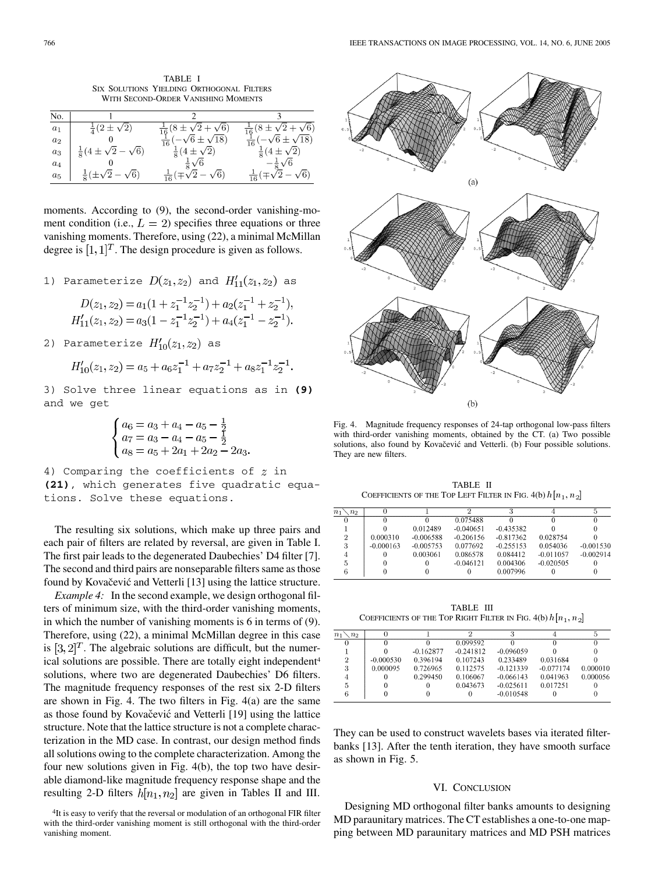TABLE I SIX SOLUTIONS YIELDING ORTHOGONAL FILTERS WITH SECOND-ORDER VANISHING MOMENTS

| No.   |                                      |                                       |                                       |
|-------|--------------------------------------|---------------------------------------|---------------------------------------|
| $a_1$ | $rac{1}{4}(2\pm\sqrt{2})$            | $\frac{1}{16}(8\pm\sqrt{2+\sqrt{6}})$ | $\frac{1}{16}(8\pm\sqrt{2}+\sqrt{6})$ |
| $a_2$ |                                      | $\frac{1}{16}(-\sqrt{6}\pm\sqrt{18})$ | $\frac{1}{16}(-\sqrt{6}\pm\sqrt{18})$ |
| $a_3$ | $\frac{1}{8}(4\pm\sqrt{2}-\sqrt{6})$ | $rac{1}{8}(4\pm\sqrt{2})$             | $\frac{1}{8}(4\pm\sqrt{2})$           |
| $a_4$ |                                      | $rac{1}{8}\sqrt{6}$                   | $-\frac{1}{5}\sqrt{6}$                |
| $a_5$ | $\frac{1}{8}(\pm\sqrt{2}-\sqrt{6})$  | $\frac{1}{16}(\pm\sqrt{2}-\sqrt{6})$  | $\frac{1}{16}(\mp\sqrt{2}-\sqrt{6})$  |

moments. According to (9), the second-order vanishing-moment condition (i.e.,  $L = 2$ ) specifies three equations or three vanishing moments. Therefore, using (22), a minimal McMillan degree is  $[1, 1]^T$ . The design procedure is given as follows.

1) Parameterize  $D(z_1, z_2)$  and  $H'_{11}(z_1, z_2)$  as

$$
D(z_1, z_2) = a_1(1 + z_1^{-1}z_2^{-1}) + a_2(z_1^{-1} + z_2^{-1}),
$$
  
\n
$$
H'_{11}(z_1, z_2) = a_3(1 - z_1^{-1}z_2^{-1}) + a_4(z_1^{-1} - z_2^{-1}).
$$

2) Parameterize  $H'_{10}(z_1, z_2)$  as

$$
H'_{10}(z_1,z_2)=a_5+a_6z_1^{-1}+a_7z_2^{-1}+a_8z_1^{-1}z_2^{-1}.
$$

3) Solve three linear equations as in **(9)** and we get

$$
\begin{cases}\na_6 = a_3 + a_4 - a_5 - \frac{1}{2} \\
a_7 = a_3 - a_4 - a_5 - \frac{1}{2} \\
a_8 = a_5 + 2a_1 + 2a_2 - 2a_3.\n\end{cases}
$$

4) Comparing the coefficients of  $z$  in **(21)**, which generates five quadratic equations. Solve these equations.

The resulting six solutions, which make up three pairs and each pair of filters are related by reversal, are given in Table I. The first pair leads to the degenerated Daubechies' D4 filter [[7\]](#page-8-0). The second and third pairs are nonseparable filters same as those found by Kovačević and Vetterli [[13\]](#page-9-0) using the lattice structure.

*Example 4:* In the second example, we design orthogonal filters of minimum size, with the third-order vanishing moments, in which the number of vanishing moments is 6 in terms of (9). Therefore, using (22), a minimal McMillan degree in this case is  $[3, 2]^T$ . The algebraic solutions are difficult, but the numerical solutions are possible. There are totally eight independent<sup>4</sup> solutions, where two are degenerated Daubechies' D6 filters. The magnitude frequency responses of the rest six 2-D filters are shown in Fig. 4. The two filters in Fig. 4(a) are the same as those found by Kovačević and Vetterli [[19\]](#page-9-0) using the lattice structure. Note that the lattice structure is not a complete characterization in the MD case. In contrast, our design method finds all solutions owing to the complete characterization. Among the four new solutions given in Fig. 4(b), the top two have desirable diamond-like magnitude frequency response shape and the resulting 2-D filters  $h[n_1, n_2]$  are given in Tables II and III.



Fig. 4. Magnitude frequency responses of 24-tap orthogonal low-pass filters with third-order vanishing moments, obtained by the CT. (a) Two possible solutions, also found by Kovačević and Vetterli. (b) Four possible solutions. They are new filters.

TABLE II COEFFICIENTS OF THE TOP LEFT FILTER IN FIG. 4(b)  $h[n_1, n_2]$ 

| n <sub>1</sub><br>n <sub>2</sub> |             |             |             |             |             |             |
|----------------------------------|-------------|-------------|-------------|-------------|-------------|-------------|
|                                  |             |             | 0.075488    |             |             |             |
|                                  |             | 0.012489    | $-0.040651$ | $-0.435382$ |             |             |
| 2                                | 0.000310    | $-0.006588$ | $-0.206156$ | $-0.817362$ | 0.028754    |             |
| 3                                | $-0.000163$ | $-0.005753$ | 0.077692    | $-0.255153$ | 0.054036    | $-0.001530$ |
|                                  |             | 0.003061    | 0.086578    | 0.084412    | $-0.011057$ | $-0.002914$ |
| 5                                |             |             | $-0.046121$ | 0.004306    | $-0.020505$ |             |
|                                  |             |             |             | 0.007996    |             |             |

TABLE III COEFFICIENTS OF THE TOP RIGHT FILTER IN FIG. 4(b)  $h[n_1, n_2]$ 

| $n_{1}$<br>n <sub>2</sub> |             |             |             |             |             |          |
|---------------------------|-------------|-------------|-------------|-------------|-------------|----------|
| $\Omega$                  |             |             | 0.099592    |             |             |          |
|                           |             | $-0.162877$ | $-0.241812$ | $-0.096059$ |             |          |
| 2                         | $-0.000530$ | 0.396194    | 0.107243    | 0.233489    | 0.031684    |          |
| 3                         | 0.000095    | 0.726965    | 0.112575    | $-0.121339$ | $-0.077174$ | 0.000010 |
|                           |             | 0.299450    | 0.106067    | $-0.066143$ | 0.041963    | 0.000056 |
| 5                         |             |             | 0.043673    | $-0.025611$ | 0.017251    |          |
| 6                         |             |             |             | $-0.010548$ |             |          |
|                           |             |             |             |             |             |          |

They can be used to construct wavelets bases via iterated filterbanks [\[13](#page-9-0)]. After the tenth iteration, they have smooth surface as shown in Fig. 5.

#### VI. CONCLUSION

Designing MD orthogonal filter banks amounts to designing MD paraunitary matrices. The CT establishes a one-to-one mapping between MD paraunitary matrices and MD PSH matrices

<sup>&</sup>lt;sup>4</sup>It is easy to verify that the reversal or modulation of an orthogonal FIR filter with the third-order vanishing moment is still orthogonal with the third-order vanishing moment.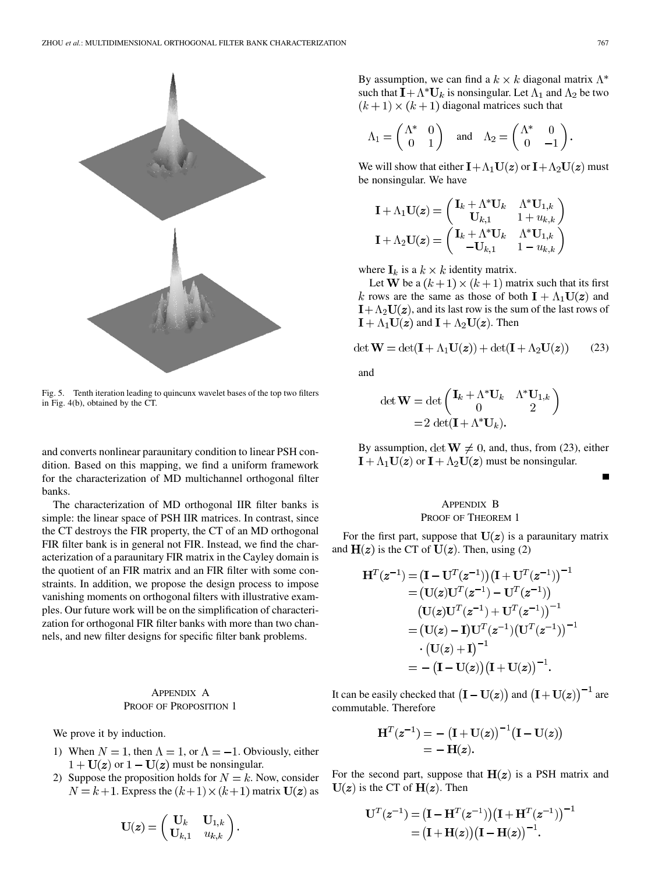

Fig. 5. Tenth iteration leading to quincunx wavelet bases of the top two filters in Fig. 4(b), obtained by the CT.

and converts nonlinear paraunitary condition to linear PSH condition. Based on this mapping, we find a uniform framework for the characterization of MD multichannel orthogonal filter banks.

The characterization of MD orthogonal IIR filter banks is simple: the linear space of PSH IIR matrices. In contrast, since the CT destroys the FIR property, the CT of an MD orthogonal FIR filter bank is in general not FIR. Instead, we find the characterization of a paraunitary FIR matrix in the Cayley domain is the quotient of an FIR matrix and an FIR filter with some constraints. In addition, we propose the design process to impose vanishing moments on orthogonal filters with illustrative examples. Our future work will be on the simplification of characterization for orthogonal FIR filter banks with more than two channels, and new filter designs for specific filter bank problems.

# APPENDIX A PROOF OF PROPOSITION 1

We prove it by induction.

- 1) When  $N = 1$ , then  $\Lambda = 1$ , or  $\Lambda = -1$ . Obviously, either  $1 + U(z)$  or  $1 - U(z)$  must be nonsingular.
- 2) Suppose the proposition holds for  $N = k$ . Now, consider  $N = k + 1$ . Express the  $(k+1) \times (k+1)$  matrix  $U(z)$  as

$$
\mathbf{U}(\mathbf{z}) = \begin{pmatrix} \mathbf{U}_k & \mathbf{U}_{1,k} \\ \mathbf{U}_{k,1} & u_{k,k} \end{pmatrix}
$$

By assumption, we can find a  $k \times k$  diagonal matrix  $\Lambda^*$ such that  $I + \Lambda^* U_k$  is nonsingular. Let  $\Lambda_1$  and  $\Lambda_2$  be two  $(k+1) \times (k+1)$  diagonal matrices such that

$$
\Lambda_1 = \begin{pmatrix} \Lambda^* & 0 \\ 0 & 1 \end{pmatrix} \quad \text{and} \quad \Lambda_2 = \begin{pmatrix} \Lambda^* & 0 \\ 0 & -1 \end{pmatrix}.
$$

We will show that either  $\mathbf{I} + \Lambda_1 \mathbf{U}(z)$  or  $\mathbf{I} + \Lambda_2 \mathbf{U}(z)$  must be nonsingular. We have

$$
\mathbf{I} + \Lambda_1 \mathbf{U}(\mathbf{z}) = \begin{pmatrix} \mathbf{I}_k + \Lambda^* \mathbf{U}_k & \Lambda^* \mathbf{U}_{1,k} \\ \mathbf{U}_{k,1} & 1 + u_{k,k} \end{pmatrix}
$$

$$
\mathbf{I} + \Lambda_2 \mathbf{U}(\mathbf{z}) = \begin{pmatrix} \mathbf{I}_k + \Lambda^* \mathbf{U}_k & \Lambda^* \mathbf{U}_{1,k} \\ -\mathbf{U}_{k,1} & 1 - u_{k,k} \end{pmatrix}
$$

where  $\mathbf{I}_k$  is a  $k \times k$  identity matrix.

Let W be a  $(k+1) \times (k+1)$  matrix such that its first k rows are the same as those of both  $I + \Lambda_1 U(z)$  and  $I + \Lambda_2 U(z)$ , and its last row is the sum of the last rows of  $\mathbf{I} + \Lambda_1 \mathbf{U}(z)$  and  $\mathbf{I} + \Lambda_2 \mathbf{U}(z)$ . Then

$$
\det \mathbf{W} = \det(\mathbf{I} + \Lambda_1 \mathbf{U}(\mathbf{z})) + \det(\mathbf{I} + \Lambda_2 \mathbf{U}(\mathbf{z})) \tag{23}
$$

and

$$
\det \mathbf{W} = \det \begin{pmatrix} \mathbf{I}_k + \Lambda^* \mathbf{U}_k & \Lambda^* \mathbf{U}_{1,k} \\ 0 & 2 \end{pmatrix}
$$

$$
= 2 \det(\mathbf{I} + \Lambda^* \mathbf{U}_k).
$$

By assumption,  $\det W \neq 0$ , and, thus, from (23), either  $\mathbf{I} + \Lambda_1 \mathbf{U}(\mathbf{z})$  or  $\mathbf{I} + \Lambda_2 \mathbf{U}(\mathbf{z})$  must be nonsingular.

# APPENDIX B PROOF OF THEOREM 1

For the first part, suppose that  $U(z)$  is a paraunitary matrix and  $H(z)$  is the CT of  $U(z)$ . Then, using (2)

$$
H^{T}(z^{-1}) = (I - U^{T}(z^{-1}))(I + U^{T}(z^{-1}))^{-1}
$$
  
\n
$$
= (U(z)U^{T}(z^{-1}) - U^{T}(z^{-1}))
$$
  
\n
$$
(U(z)U^{T}(z^{-1}) + U^{T}(z^{-1}))^{-1}
$$
  
\n
$$
= (U(z) - I)U^{T}(z^{-1})(U^{T}(z^{-1}))^{-1}
$$
  
\n
$$
\cdot (U(z) + I)^{-1}
$$
  
\n
$$
= - (I - U(z))(I + U(z))^{-1}.
$$

It can be easily checked that  $(I - U(z))$  and  $(I + U(z))$ <sup>-1</sup> are commutable. Therefore

$$
\mathbf{H}^{T}(z^{-1}) = -(\mathbf{I} + \mathbf{U}(z))^{-1}(\mathbf{I} - \mathbf{U}(z))
$$
  
= -**H**(z).

For the second part, suppose that  $H(z)$  is a PSH matrix and  $U(z)$  is the CT of  $H(z)$ . Then

$$
\mathbf{U}^{T}(z^{-1}) = (\mathbf{I} - \mathbf{H}^{T}(z^{-1})) (\mathbf{I} + \mathbf{H}^{T}(z^{-1}))^{-1}
$$
  
= (\mathbf{I} + \mathbf{H}(z)) (\mathbf{I} - \mathbf{H}(z))^{-1}.

П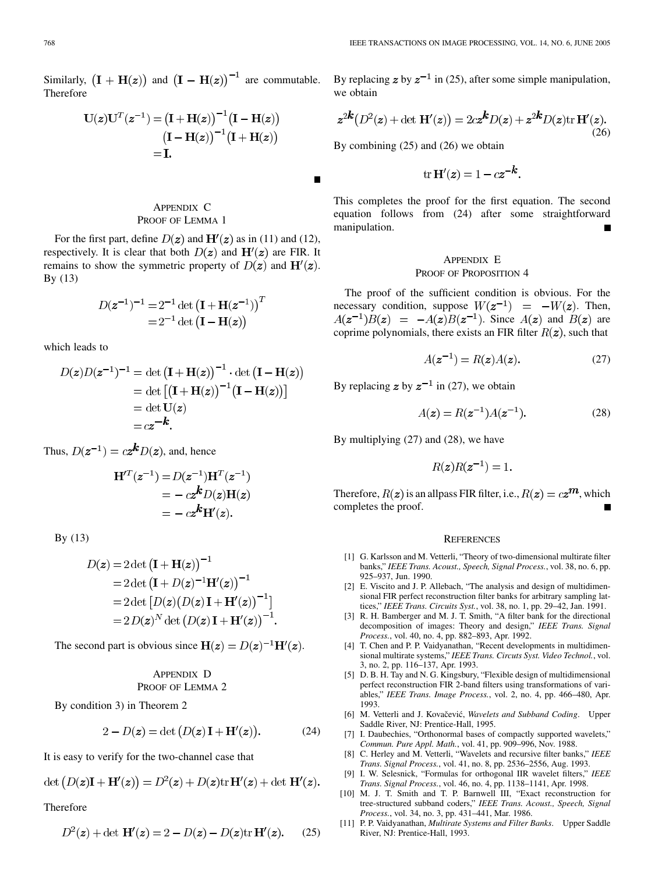<span id="page-8-0"></span>Similarly,  $(I + H(z))$  and  $(I - H(z))^{-1}$  are commutable. Therefore

$$
U(z)UT(z-1) = (I + H(z))-1(I - H(z))
$$

$$
(I - H(z))-1(I + H(z))
$$

$$
= I.
$$

# APPENDIX C PROOF OF LEMMA 1

For the first part, define  $D(z)$  and  $H'(z)$  as in (11) and (12), respectively. It is clear that both  $D(z)$  and  $H'(z)$  are FIR. It remains to show the symmetric property of  $D(z)$  and  $H'(z)$ . By (13)

$$
D(z^{-1})^{-1} = 2^{-1} \det (\mathbf{I} + \mathbf{H}(z^{-1}))^{T}
$$
  
= 2<sup>-1</sup> det ( $\mathbf{I} - \mathbf{H}(z)$ )

which leads to

$$
D(z)D(z^{-1})^{-1} = \det (\mathbf{I} + \mathbf{H}(z))^{-1} \cdot \det (\mathbf{I} - \mathbf{H}(z))
$$
  
= det  $[(\mathbf{I} + \mathbf{H}(z))^{-1}(\mathbf{I} - \mathbf{H}(z))]$   
= det  $\mathbf{U}(z)$   
=  $cz^{-k}$ .

Thus,  $D(z^{-1}) = c z^k D(z)$ , and, hence

$$
\mathbf{H}^{T}(z^{-1}) = D(z^{-1})\mathbf{H}^{T}(z^{-1})
$$

$$
= -cz^kD(z)\mathbf{H}(z)
$$

$$
= -cz^k\mathbf{H}'(z).
$$

By (13)

$$
D(z) = 2 \det (\mathbf{I} + \mathbf{H}(z))^{-1}
$$
  
= 2 det  $(\mathbf{I} + D(z)^{-1} \mathbf{H}'(z))^{-1}$   
= 2 det  $[D(z)(D(z)\mathbf{I} + \mathbf{H}'(z))^{-1}]$   
= 2  $D(z)^{N}$  det  $(D(z)\mathbf{I} + \mathbf{H}'(z))^{-1}$ .

The second part is obvious since  $H(z) = D(z)^{-1}H'(z)$ .

# APPENDIX D PROOF OF LEMMA 2

By condition 3) in Theorem 2

$$
2 - D(z) = \det (D(z) \mathbf{I} + \mathbf{H}'(z)).
$$
 (24)

It is easy to verify for the two-channel case that

$$
\det (D(z)\mathbf{I} + \mathbf{H}'(z)) = D^2(z) + D(z)\text{tr }\mathbf{H}'(z) + \det \mathbf{H}'(z).
$$

Therefore

$$
D2(z) + \det \mathbf{H}'(z) = 2 - D(z) - D(z) \text{tr } \mathbf{H}'(z).
$$
 (25)

By replacing z by  $z^{-1}$  in (25), after some simple manipulation, we obtain

$$
z^{2k}(D^2(z) + \det \mathbf{H}'(z)) = 2cz^k D(z) + z^{2k} D(z) \text{tr } \mathbf{H}'(z).
$$
\n(26)

By combining (25) and (26) we obtain

 $\blacksquare$ 

$$
\operatorname{tr} \mathbf{H}'(z) = 1 - cz^{-k}.
$$

This completes the proof for the first equation. The second equation follows from (24) after some straightforward manipulation.

# APPENDIX E

## PROOF OF PROPOSITION 4

The proof of the sufficient condition is obvious. For the necessary condition, suppose  $W(z^{-1}) = -W(z)$ . Then,  $A(z^{-1})B(z) = -A(z)B(z^{-1})$ . Since  $A(z)$  and  $B(z)$  are coprime polynomials, there exists an FIR filter  $R(z)$ , such that

$$
A(\mathbf{z}^{-1}) = R(\mathbf{z})A(\mathbf{z}).\tag{27}
$$

By replacing z by  $z^{-1}$  in (27), we obtain

$$
A(z) = R(z^{-1})A(z^{-1}).
$$
 (28)

By multiplying (27) and (28), we have

 $R(z)R(z^{-1}) = 1.$ 

Therefore,  $R(z)$  is an allpass FIR filter, i.e.,  $R(z) = cz^m$ , which completes the proof.

#### **REFERENCES**

- [1] G. Karlsson and M. Vetterli, "Theory of two-dimensional multirate filter banks," *IEEE Trans. Acoust., Speech, Signal Process.*, vol. 38, no. 6, pp. 925–937, Jun. 1990.
- [2] E. Viscito and J. P. Allebach, "The analysis and design of multidimensional FIR perfect reconstruction filter banks for arbitrary sampling lattices," *IEEE Trans. Circuits Syst.*, vol. 38, no. 1, pp. 29–42, Jan. 1991.
- [3] R. H. Bamberger and M. J. T. Smith, "A filter bank for the directional decomposition of images: Theory and design," *IEEE Trans. Signal Process.*, vol. 40, no. 4, pp. 882–893, Apr. 1992.
- [4] T. Chen and P. P. Vaidyanathan, "Recent developments in multidimensional multirate systems," *IEEE Trans. Circuts Syst. Video Technol.*, vol. 3, no. 2, pp. 116–137, Apr. 1993.
- [5] D. B. H. Tay and N. G. Kingsbury, "Flexible design of multidimensional perfect reconstruction FIR 2-band filters using transformations of variables," *IEEE Trans. Image Process.*, vol. 2, no. 4, pp. 466–480, Apr. 1993.
- [6] M. Vetterli and J. Kovačević, *Wavelets and Subband Coding*. Upper Saddle River, NJ: Prentice-Hall, 1995.
- [7] I. Daubechies, "Orthonormal bases of compactly supported wavelets," *Commun. Pure Appl. Math.*, vol. 41, pp. 909–996, Nov. 1988.
- [8] C. Herley and M. Vetterli, "Wavelets and recursive filter banks," *IEEE Trans. Signal Process.*, vol. 41, no. 8, pp. 2536–2556, Aug. 1993.
- [9] I. W. Selesnick, "Formulas for orthogonal IIR wavelet filters," *IEEE Trans. Signal Process.*, vol. 46, no. 4, pp. 1138–1141, Apr. 1998.
- [10] M. J. T. Smith and T. P. Barnwell III, "Exact reconstruction for tree-structured subband coders," *IEEE Trans. Acoust., Speech, Signal Process.*, vol. 34, no. 3, pp. 431–441, Mar. 1986.
- [11] P. P. Vaidyanathan, *Multirate Systems and Filter Banks*. Upper Saddle River, NJ: Prentice-Hall, 1993.